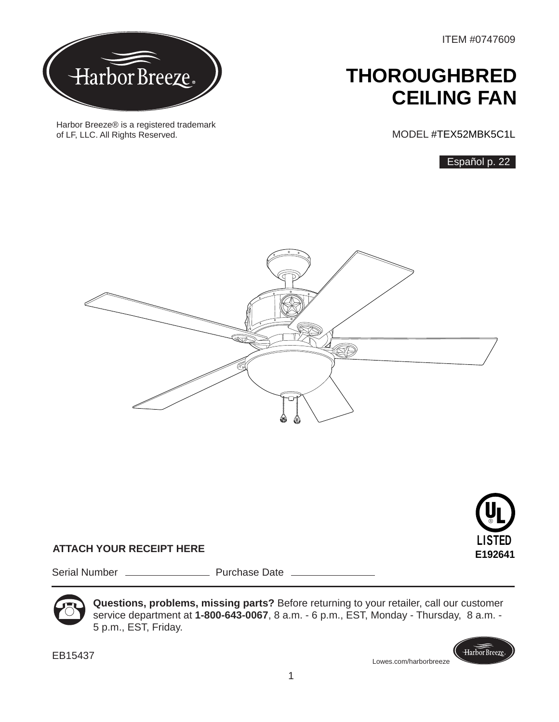ITEM #0747609



Harbor Breeze® is a registered trademark of LF, LLC. All Rights Reserved.

## **THOROUGHBRED CEILING FAN**

MODEL #TEX52MBK5C1L

Español p. 22





Harbor Breeze.

## **ATTACH YOUR RECEIPT HERE**

Serial Number Purchase Date



**Questions, problems, missing parts?** Before returning to your retailer, call our customer service department at **1-800-643-0067**, 8 a.m. - 6 p.m., EST, Monday - Thursday, 8 a.m. - 5 p.m., EST, Friday.

EB15437

Lowes.com/harborbreeze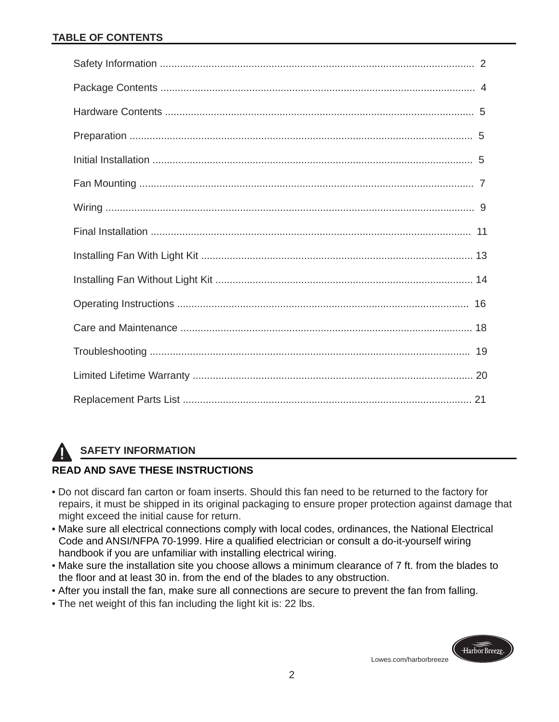## **TABLE OF CONTENTS**

## **SAFETY INFORMATION**

## **READ AND SAVE THESE INSTRUCTIONS**

- Do not discard fan carton or foam inserts. Should this fan need to be returned to the factory for repairs, it must be shipped in its original packaging to ensure proper protection against damage that might exceed the initial cause for return.
- Make sure all electrical connections comply with local codes, ordinances, the National Electrical Code and ANSI/NFPA 70-1999. Hire a qualified electrician or consult a do-it-yourself wiring handbook if you are unfamiliar with installing electrical wiring.
- Make sure the installation site you choose allows a minimum clearance of 7 ft. from the blades to the floor and at least 30 in. from the end of the blades to any obstruction.
- After you install the fan, make sure all connections are secure to prevent the fan from falling.
- •The net weight of this fan including the light kit is: 22 lbs.

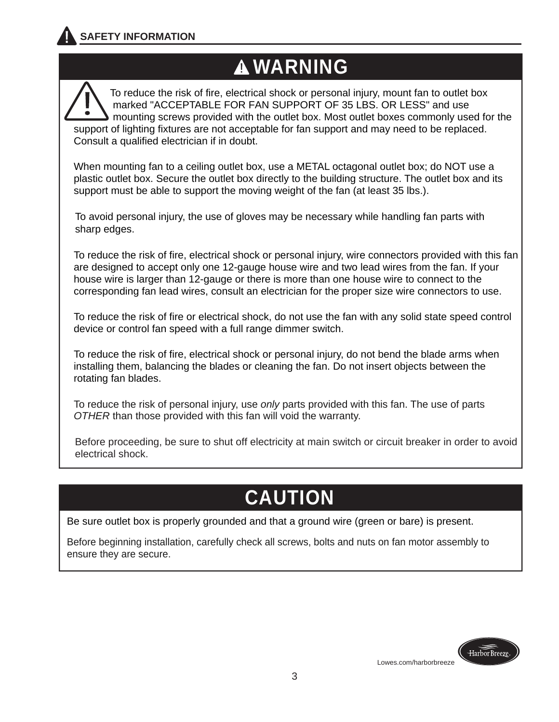## **WARNING WARNING WARNING**

 To reduce the risk of fire, electrical shock or personal injury, mount fan to outlet box marked "ACCEPTABLE FOR FAN SUPPORT OF 35 LBS. OR LESS" and use mounting screws provided with the outlet box. Most outlet boxes commonly used for the support of lighting fixtures are not acceptable for fan support and may need to be replaced. Consult a qualified electrician if in doubt. I

When mounting fan to a ceiling outlet box, use a METAL octagonal outlet box; do NOT use a plastic outlet box. Secure the outlet box directly to the building structure. The outlet box and its support must be able to support the moving weight of the fan (at least 35 lbs.).

 To avoid personal injury, the use of gloves may be necessary while handling fan parts with sharp edges.

To reduce the risk of fire, electrical shock or personal injury, wire connectors provided with this fan are designed to accept only one 12-gauge house wire and two lead wires from the fan. If your house wire is larger than 12-gauge or there is more than one house wire to connect to the corresponding fan lead wires, consult an electrician for the proper size wire connectors to use.

To reduce the risk of fire or electrical shock, do not use the fan with any solid state speed control device or control fan speed with a full range dimmer switch.

To reduce the risk of fire, electrical shock or personal injury, do not bend the blade arms when installing them, balancing the blades or cleaning the fan. Do not insert objects between the rotating fan blades.

To reduce the risk of personal injury, use *only* parts provided with this fan. The use of parts *OTHER* than those provided with this fan will void the warranty.

 Before proceeding, be sure to shut off electricity at main switch or circuit breaker in order to avoid electrical shock.

# **CAUTION**

Be sure outlet box is properly grounded and that a ground wire (green or bare) is present.

Before beginning installation, carefully check all screws, bolts and nuts on fan motor assembly to ensure they are secure.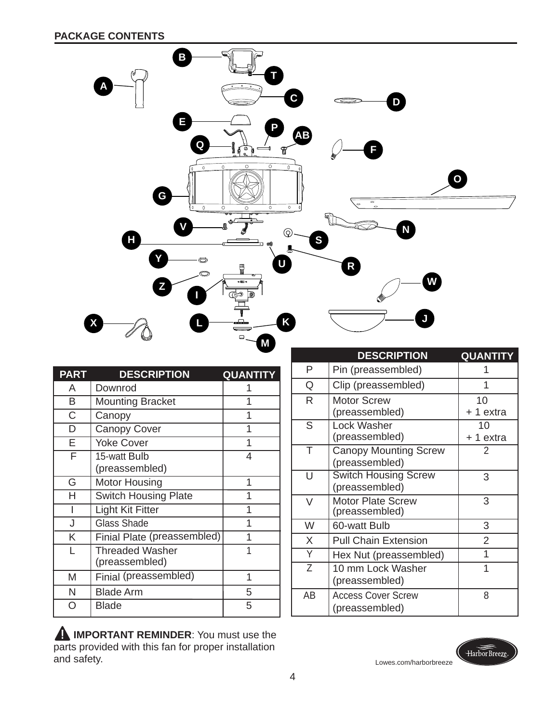

**IMPORTANT REMINDER:** You must use the parts provided with this fan for proper installation and safety.



Lowes.com/harborbreeze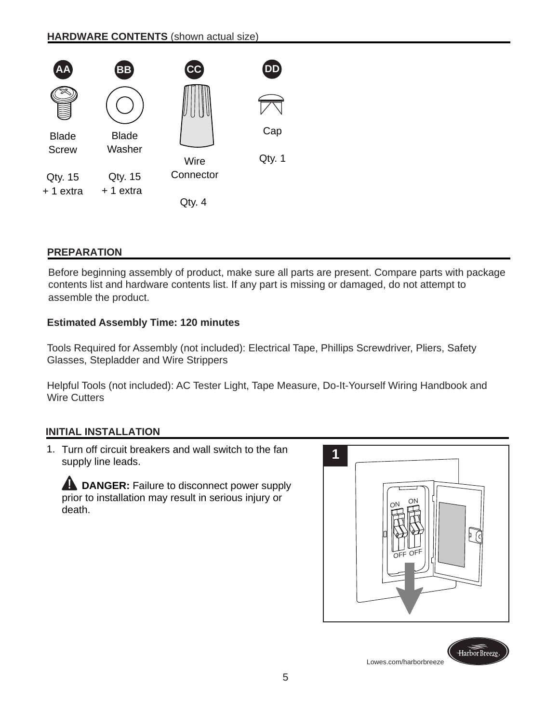

## **PREPARATION**

Before beginning assembly of product, make sure all parts are present. Compare parts with package contents list and hardware contents list. If any part is missing or damaged, do not attempt to assemble the product.

## **Estimated Assembly Time: 120 minutes**

Tools Required for Assembly (not included): Electrical Tape, Phillips Screwdriver, Pliers, Safety Glasses, Stepladder and Wire Strippers

Helpful Tools (not included): AC Tester Light, Tape Measure, Do-It-Yourself Wiring Handbook and Wire Cutters

## **INITIAL INSTALLATION**

1. Turn off circuit breakers and wall switch to the fan supply line leads.

**A DANGER:** Failure to disconnect power supply prior to installation may result in serious injury or death.



Lowes.com/harborbreeze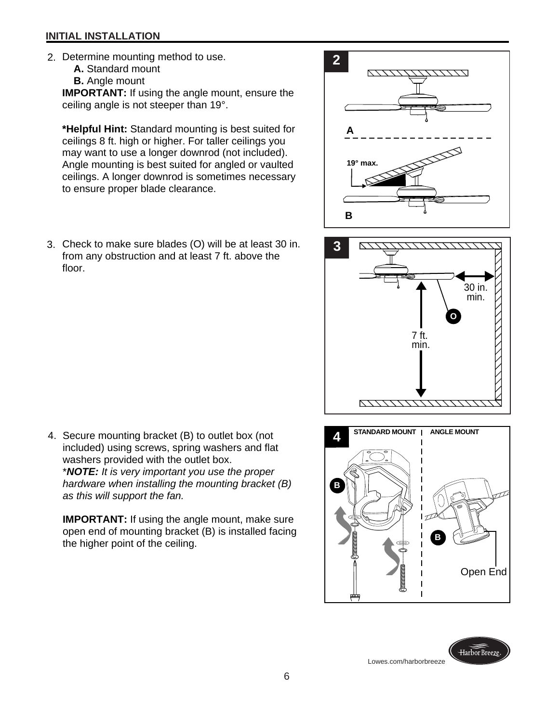#### **INITIAL INSTALLATION**

- 2. Determine mounting method to use.
	- **A.** Standard mount
	- **B.** Angle mount

**IMPORTANT:** If using the angle mount, ensure the ceiling angle is not steeper than 19°.

**\*Helpful Hint:** Standard mounting is best suited for ceilings 8 ft. high or higher. For taller ceilings you may want to use a longer downrod (not included). Angle mounting is best suited for angled or vaulted ceilings. A longer downrod is sometimes necessary to ensure proper blade clearance.

3. Check to make sure blades (O) will be at least 30 in. from any obstruction and at least 7 ft. above the floor.









Open End

**B**

\**NOTE: It is very important you use the proper hardware when installing the mounting bracket (B) as this will support the fan.*

**IMPORTANT:** If using the angle mount, make sure open end of mounting bracket (B) is installed facing the higher point of the ceiling.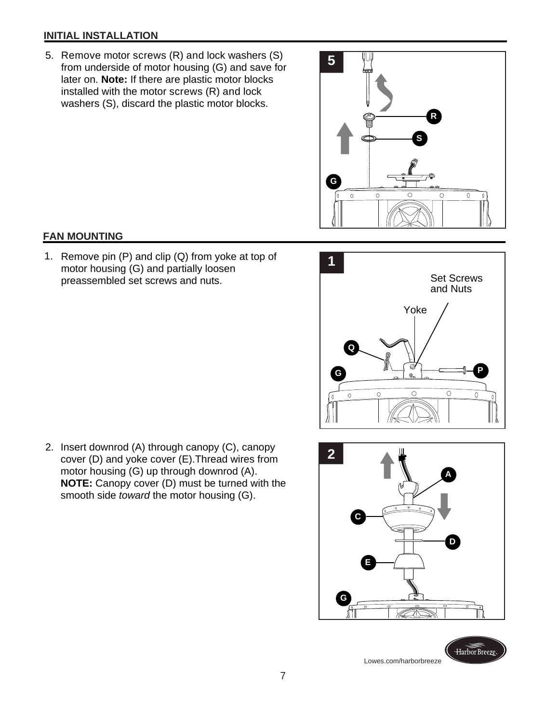### **INITIAL INSTALLATION**

 5. Remove motor screws (R) and lock washers (S) from underside of motor housing (G) and save for later on. **Note:** If there are plastic motor blocks installed with the motor screws (R) and lock washers (S), discard the plastic motor blocks.



### **FAN MOUNTING**

1. Remove pin (P) and clip (Q) from yoke at top of **1** motor housing (G) and partially loosen preassembled set screws and nuts.



 2. Insert downrod (A) through canopy (C), canopy cover (D) and yoke cover (E).Thread wires from motor housing (G) up through downrod (A). **NOTE:** Canopy cover (D) must be turned with the smooth side *toward* the motor housing (G).

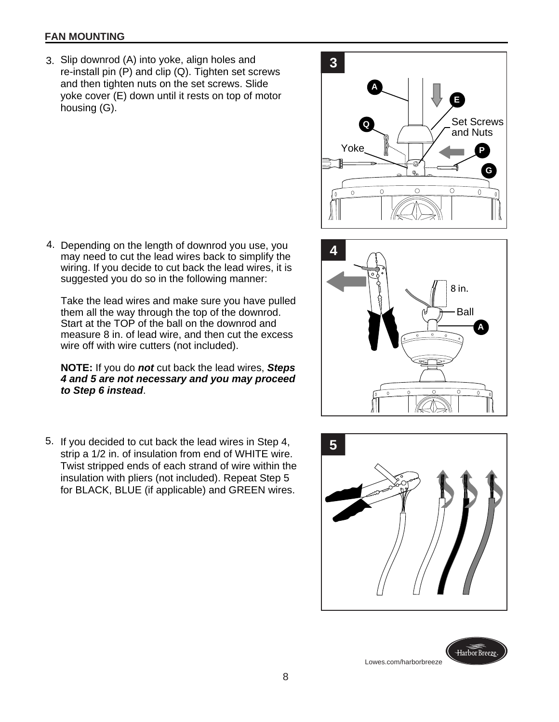#### **FAN MOUNTING**

 3. Slip downrod (A) into yoke, align holes and re-install pin (P) and clip (Q). Tighten set screws and then tighten nuts on the set screws. Slide yoke cover (E) down until it rests on top of motor housing (G).

Depending on the length of downrod you use, you 4. may need to cut the lead wires back to simplify the wiring. If you decide to cut back the lead wires, it is suggested you do so in the following manner:

Take the lead wires and make sure you have pulled them all the way through the top of the downrod. Start at the TOP of the ball on the downrod and measure 8 in. of lead wire, and then cut the excess wire off with wire cutters (not included).

**NOTE:** If you do *not* cut back the lead wires, *Steps 4 and 5 are not necessary and you may proceed to Step 6 instead*.

If you decided to cut back the lead wires in Step 4, 5. **5** strip a 1/2 in. of insulation from end of WHITE wire. Twist stripped ends of each strand of wire within the insulation with pliers (not included). Repeat Step 5 for BLACK, BLUE (if applicable) and GREEN wires.







Harbor Breeze Lowes.com/harborbreeze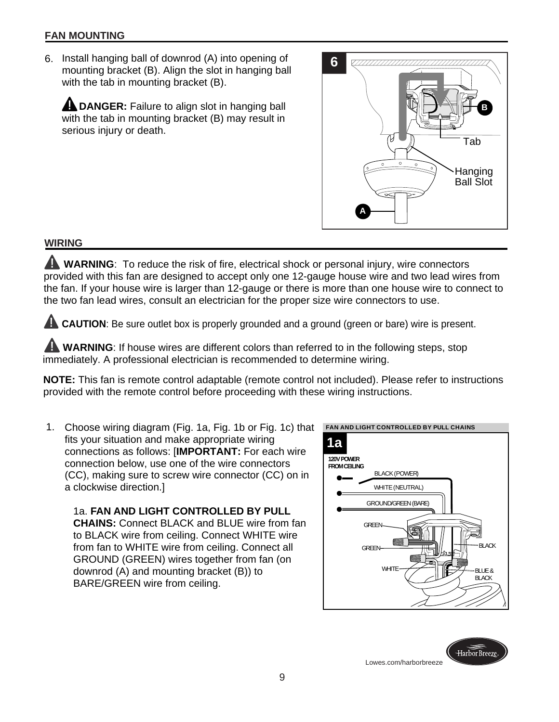#### **FAN MOUNTING**

6. **6** Install hanging ball of downrod (A) into opening of mounting bracket (B). Align the slot in hanging ball with the tab in mounting bracket (B).

**A DANGER:** Failure to align slot in hanging ball with the tab in mounting bracket (B) may result in serious injury or death.



### **WIRING**

**WARNING**: To reduce the risk of fire, electrical shock or personal injury, wire connectors provided with this fan are designed to accept only one 12-gauge house wire and two lead wires from the fan. If your house wire is larger than 12-gauge or there is more than one house wire to connect to the two fan lead wires, consult an electrician for the proper size wire connectors to use.

**CAUTION:** Be sure outlet box is properly grounded and a ground (green or bare) wire is present.

**A WARNING:** If house wires are different colors than referred to in the following steps, stop immediately. A professional electrician is recommended to determine wiring.

**NOTE:** This fan is remote control adaptable (remote control not included). Please refer to instructions provided with the remote control before proceeding with these wiring instructions.

 1. Choose wiring diagram (Fig. 1a, Fig. 1b or Fig. 1c) that fits your situation and make appropriate wiring connections as follows: [**IMPORTANT:** For each wire connection below, use one of the wire connectors (CC), making sure to screw wire connector (CC) on in a clockwise direction.]

1a. **FAN AND LIGHT CONTROLLED BY PULL CHAINS:** Connect BLACK and BLUE wire from fan to BLACK wire from ceiling. Connect WHITE wire from fan to WHITE wire from ceiling. Connect all GROUND (GREEN) wires together from fan (on downrod (A) and mounting bracket (B)) to BARE/GREEN wire from ceiling.

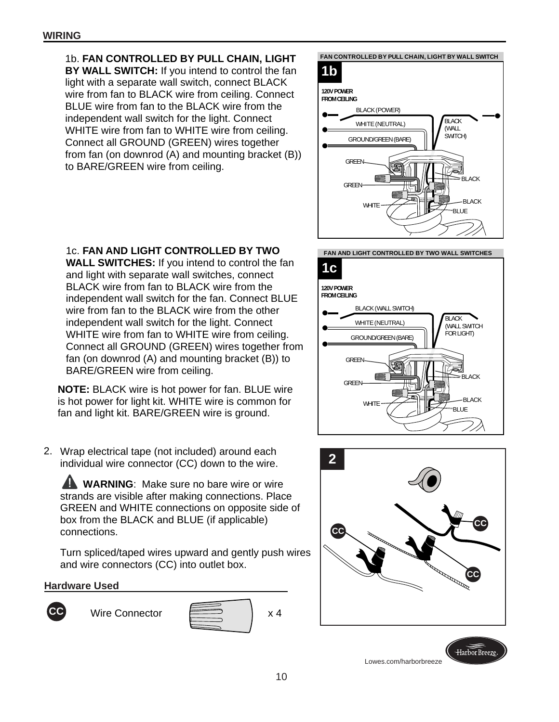1b. **FAN CONTROLLED BY PULL CHAIN, LIGHT BY WALL SWITCH:** If you intend to control the fan light with a separate wall switch, connect BLACK wire from fan to BLACK wire from ceiling. Connect BLUE wire from fan to the BLACK wire from the independent wall switch for the light. Connect WHITE wire from fan to WHITE wire from ceiling. Connect all GROUND (GREEN) wires together from fan (on downrod (A) and mounting bracket (B)) to BARE/GREEN wire from ceiling.



#### 1c. **FAN AND LIGHT CONTROLLED BY TWO WALL SWITCHES:** If you intend to control the fan and light with separate wall switches, connect BLACK wire from fan to BLACK wire from the

independent wall switch for the fan. Connect BLUE wire from fan to the BLACK wire from the other independent wall switch for the light. Connect WHITE wire from fan to WHITE wire from ceiling. Connect all GROUND (GREEN) wires together from fan (on downrod (A) and mounting bracket (B)) to BARE/GREEN wire from ceiling.

**NOTE:** BLACK wire is hot power for fan. BLUE wire is hot power for light kit. WHITE wire is common for fan and light kit. BARE/GREEN wire is ground.

Wrap electrical tape (not included) around each 2. individual wire connector (CC) down to the wire.

**A WARNING:** Make sure no bare wire or wire strands are visible after making connections. Place GREEN and WHITE connections on opposite side of box from the BLACK and BLUE (if applicable) connections.

Turn spliced/taped wires upward and gently push wires and wire connectors (CC) into outlet box.

## **Hardware Used**









Lowes.com/harborbreeze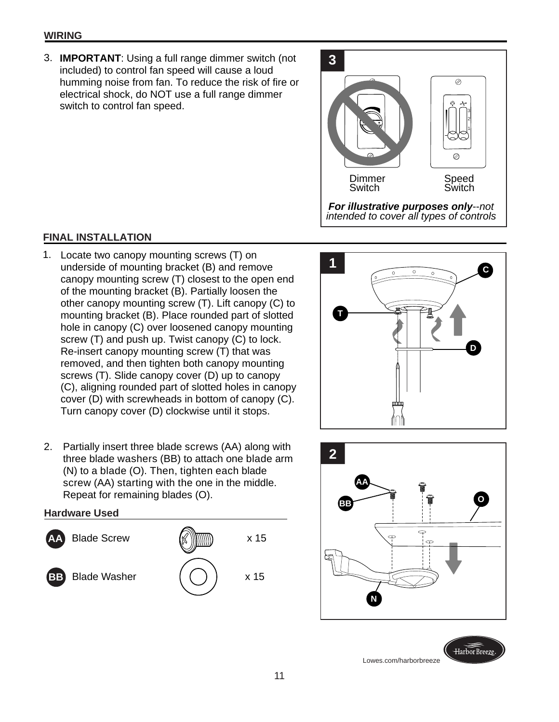#### **WIRING**

**IMPORTANT**: Using a full range dimmer switch (not 3. included) to control fan speed will cause a loud humming noise from fan. To reduce the risk of fire or electrical shock, do NOT use a full range dimmer switch to control fan speed.



## **FINAL INSTALLATION**

- 1. Locate two canopy mounting screws (T) on<br>underside of mounting bracket (B) and remove underside of mounting bracket (B) and remove canopy mounting screw (T) closest to the open end of the mounting bracket (B). Partially loosen the other canopy mounting screw (T). Lift canopy (C) to mounting bracket (B). Place rounded part of slotted hole in canopy (C) over loosened canopy mounting screw (T) and push up. Twist canopy (C) to lock. Re-insert canopy mounting screw (T) that was removed, and then tighten both canopy mounting screws (T). Slide canopy cover (D) up to canopy (C), aligning rounded part of slotted holes in canopy cover (D) with screwheads in bottom of canopy (C). Turn canopy cover (D) clockwise until it stops.
- 2. Partially insert three blade screws (AA) along with three blade washers (BB) to attach one blade arm (N) to a blade (O). Then, tighten each blade screw (AA) starting with the one in the middle. Repeat for remaining blades (O).

#### **Hardware Used**







Lowes.com/harborbreeze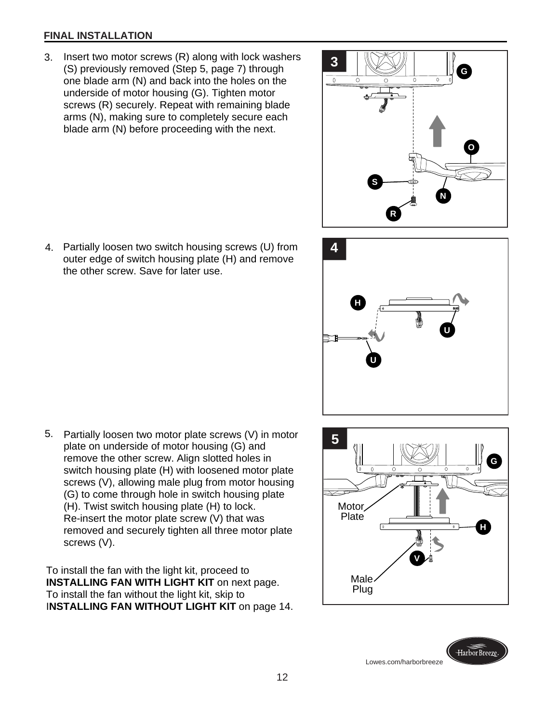#### **FINAL INSTALLATION**

- 3. Insert two motor screws (R) along with lock washers (S) previously removed (Step 5, page 7) through one blade arm (N) and back into the holes on the underside of motor housing (G). Tighten motor screws (R) securely. Repeat with remaining blade arms (N), making sure to completely secure each blade arm (N) before proceeding with the next.
- **3 G**  $\overline{\circ}$ **O S NI R**
- Partially loosen two switch housing screws (U) from 4. **4** outer edge of switch housing plate (H) and remove the other screw. Save for later use.
- **HI UI UI**
- 5. Partially loosen two motor plate screws (V) in motor plate on underside of motor housing (G) and remove the other screw. Align slotted holes in switch housing plate (H) with loosened motor plate screws (V), allowing male plug from motor housing (G) to come through hole in switch housing plate (H). Twist switch housing plate (H) to lock. Re-insert the motor plate screw (V) that was removed and securely tighten all three motor plate screws (V).

To install the fan with the light kit, proceed to **INSTALLING FAN WITH LIGHT KIT** on next page. To install the fan without the light kit, skip to I**NSTALLING FAN WITHOUT LIGHT KIT** on page 14.



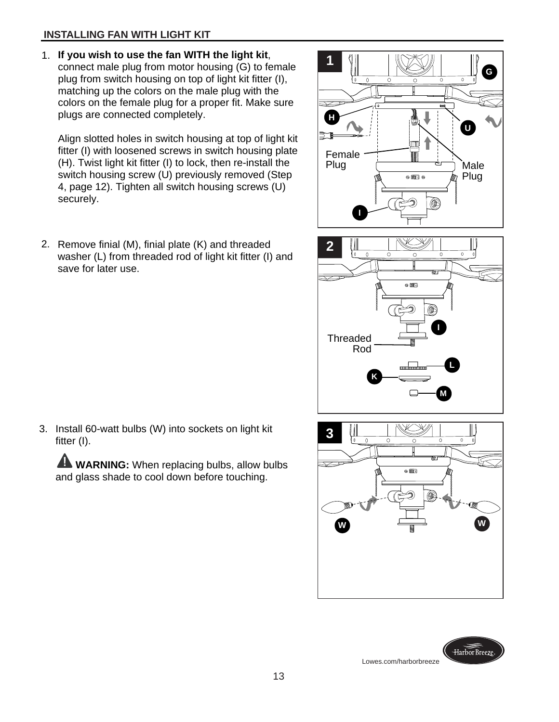## **INSTALLING FAN WITH LIGHT KIT**

**If you wish to use the fan WITH the light kit**, 1. connect male plug from motor housing (G) to female plug from switch housing on top of light kit fitter (I), matching up the colors on the male plug with the colors on the female plug for a proper fit. Make sure plugs are connected completely.

Align slotted holes in switch housing at top of light kit fitter (I) with loosened screws in switch housing plate (H). Twist light kit fitter (I) to lock, then re-install the switch housing screw (U) previously removed (Step 4, page 12). Tighten all switch housing screws (U) securely.

2. Remove finial (M), finial plate (K) and threaded washer (L) from threaded rod of light kit fitter (I) and save for later use.







Harbor Breeze Lowes.com/harborbreeze

3. Install 60-watt bulbs (W) into sockets on light kit fitter (I).

**WARNING:** When replacing bulbs, allow bulbs and glass shade to cool down before touching.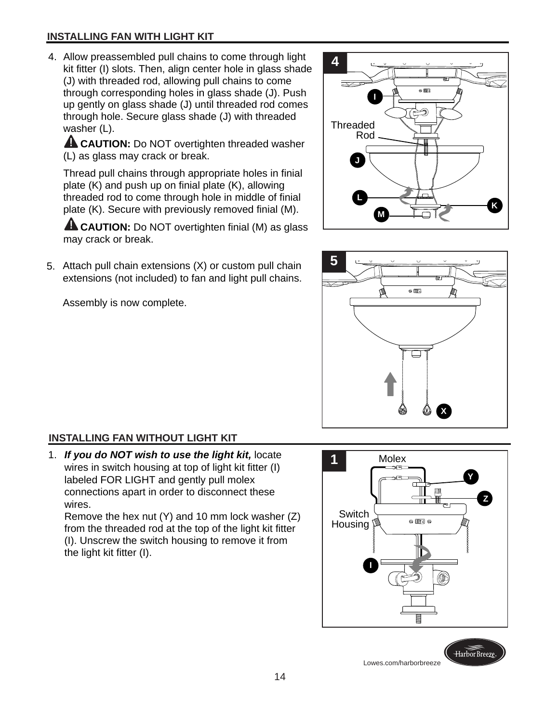## **INSTALLING FAN WITH LIGHT KIT**

Allow preassembled pull chains to come through light 4. kit fitter (I) slots. Then, align center hole in glass shade (J) with threaded rod, allowing pull chains to come through corresponding holes in glass shade (J). Push up gently on glass shade (J) until threaded rod comes through hole. Secure glass shade (J) with threaded washer (L).

**AL CAUTION:** Do NOT overtighten threaded washer (L) as glass may crack or break.

Thread pull chains through appropriate holes in finial plate (K) and push up on finial plate (K), allowing threaded rod to come through hole in middle of finial plate (K). Secure with previously removed finial (M).

**A CAUTION:** Do NOT overtighten finial (M) as glass may crack or break.

Attach pull chain extensions (X) or custom pull chain 5. extensions (not included) to fan and light pull chains.

Assembly is now complete.





## **INSTALLING FAN WITHOUT LIGHT KIT**

1. **1** *If you do NOT wish to use the light kit,* locate wires in switch housing at top of light kit fitter (I) labeled FOR LIGHT and gently pull molex connections apart in order to disconnect these wires.

Remove the hex nut (Y) and 10 mm lock washer (Z) from the threaded rod at the top of the light kit fitter (I). Unscrew the switch housing to remove it from the light kit fitter (I).

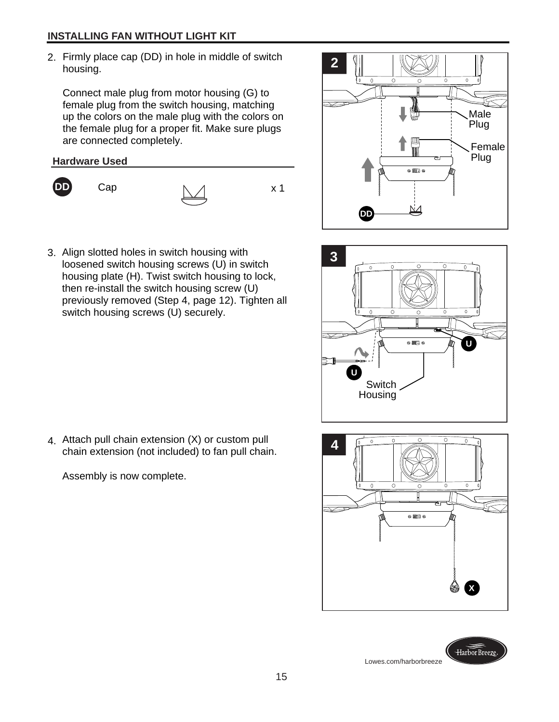#### **INSTALLING FAN WITHOUT LIGHT KIT**

Firmly place cap (DD) in hole in middle of switch 2. **2** housing.

Connect male plug from motor housing (G) to female plug from the switch housing, matching up the colors on the male plug with the colors on the female plug for a proper fit. Make sure plugs are connected completely.





**DD** Cap  $\uparrow$   $\uparrow$  x 1

3. Align slotted holes in switch housing with loosened switch housing screws (U) in switch housing plate (H). Twist switch housing to lock, then re-install the switch housing screw (U) previously removed (Step 4, page 12). Tighten all switch housing screws (U) securely.









4. Attach pull chain extension (X) or custom pull<br>chain extension (not included) to fan pull chain chain extension (not included) to fan pull chain.

Assembly is now complete.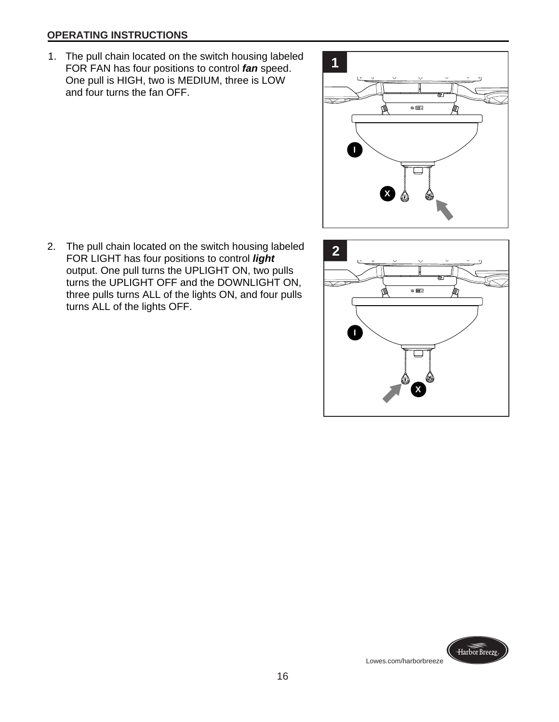#### **OPERATING INSTRUCTIONS**

1. The pull chain located on the switch housing labeled **1.**<br>FOR EAN has four positions to control **fan** speed FOR FAN has four positions to control *fan* speed. One pull is HIGH, two is MEDIUM, three is LOW and four turns the fan OFF.



2. The pull chain located on the switch housing labeled 2<br>
FOB LICHT has four positions to control **light** FOR LIGHT has four positions to control *light*  output. One pull turns the UPLIGHT ON, two pulls turns the UPLIGHT OFF and the DOWNLIGHT ON, three pulls turns ALL of the lights ON, and four pulls turns ALL of the lights OFF.



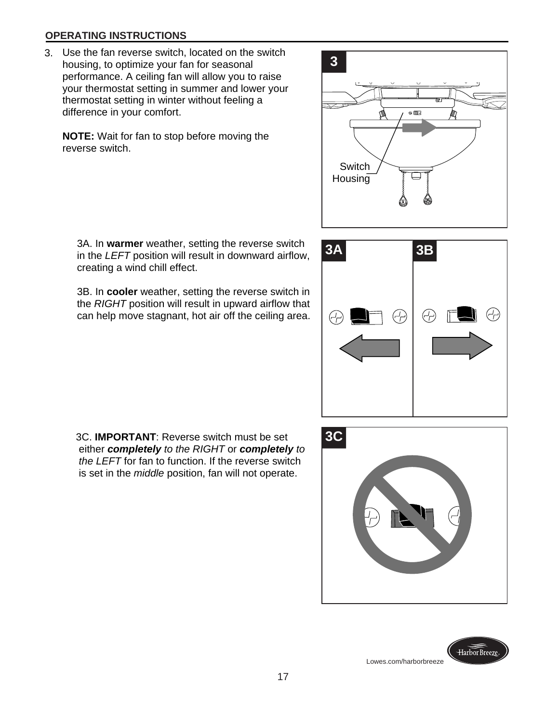#### **OPERATING INSTRUCTIONS**

 3. Use the fan reverse switch, located on the switch housing, to optimize your fan for seasonal performance. A ceiling fan will allow you to raise your thermostat setting in summer and lower your thermostat setting in winter without feeling a difference in your comfort.

**NOTE:** Wait for fan to stop before moving the reverse switch.

 3A. In **warmer** weather, setting the reverse switch in the *LEFT* position will result in downward airflow, creating a wind chill effect.

 3B. In **cooler** weather, setting the reverse switch in the *RIGHT* position will result in upward airflow that can help move stagnant, hot air off the ceiling area.





 3C. **IMPORTANT**: Reverse switch must be set either *completely to the RIGHT* or *completely to the LEFT* for fan to function. If the reverse switch is set in the *middle* position, fan will not operate.





Lowes.com/harborbreeze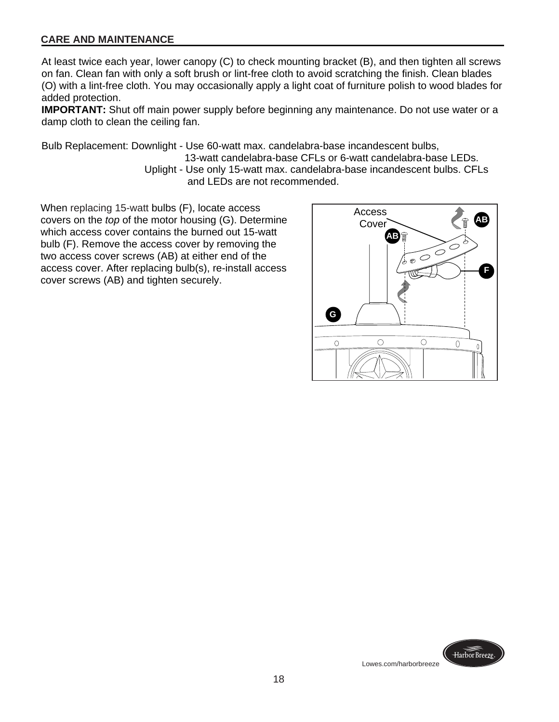#### **CARE AND MAINTENANCE**

At least twice each year, lower canopy (C) to check mounting bracket (B), and then tighten all screws on fan. Clean fan with only a soft brush or lint-free cloth to avoid scratching the finish. Clean blades (O) with a lint-free cloth. You may occasionally apply a light coat of furniture polish to wood blades for added protection.

**IMPORTANT:** Shut off main power supply before beginning any maintenance. Do not use water or a damp cloth to clean the ceiling fan.

Bulb Replacement: Downlight - Use 60-watt max. candelabra-base incandescent bulbs,

 13-watt candelabra-base CFLs or 6-watt candelabra-base LEDs. Uplight - Use only 15-watt max. candelabra-base incandescent bulbs. CFLs and LEDs are not recommended.

When replacing 15-watt bulbs (F), locate access covers on the *top* of the motor housing (G). Determine which access cover contains the burned out 15-watt bulb (F). Remove the access cover by removing the two access cover screws (AB) at either end of the access cover. After replacing bulb(s), re-install access cover screws (AB) and tighten securely.



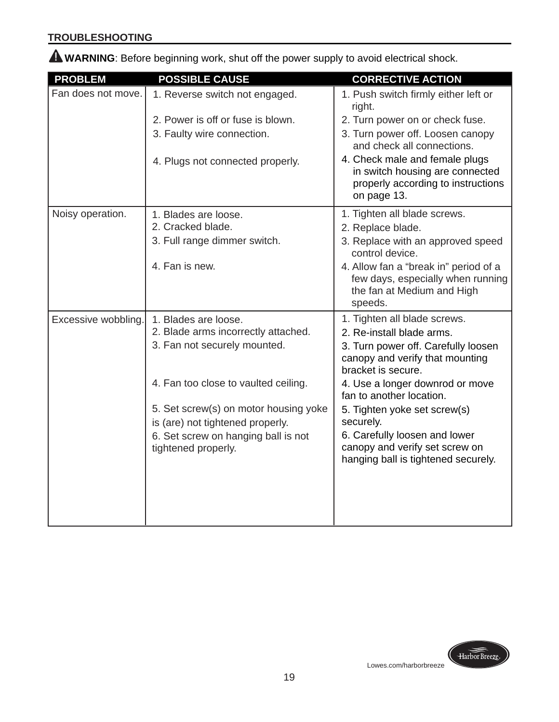## **TROUBLESHOOTING**

**WARNING**: Before beginning work, shut off the power supply to avoid electrical shock.

| <b>PROBLEM</b>      | <b>POSSIBLE CAUSE</b>                 | <b>CORRECTIVE ACTION</b>                                                                                               |
|---------------------|---------------------------------------|------------------------------------------------------------------------------------------------------------------------|
| Fan does not move.  | 1. Reverse switch not engaged.        | 1. Push switch firmly either left or<br>right.                                                                         |
|                     | 2. Power is off or fuse is blown.     | 2. Turn power on or check fuse.                                                                                        |
|                     | 3. Faulty wire connection.            | 3. Turn power off. Loosen canopy<br>and check all connections.                                                         |
|                     | 4. Plugs not connected properly.      | 4. Check male and female plugs<br>in switch housing are connected<br>properly according to instructions<br>on page 13. |
| Noisy operation.    | 1. Blades are loose.                  | 1. Tighten all blade screws.                                                                                           |
|                     | 2. Cracked blade.                     | 2. Replace blade.                                                                                                      |
|                     | 3. Full range dimmer switch.          | 3. Replace with an approved speed<br>control device.                                                                   |
|                     | 4. Fan is new.                        | 4. Allow fan a "break in" period of a<br>few days, especially when running<br>the fan at Medium and High<br>speeds.    |
| Excessive wobbling. | 1. Blades are loose.                  | 1. Tighten all blade screws.                                                                                           |
|                     | 2. Blade arms incorrectly attached.   | 2. Re-install blade arms.                                                                                              |
|                     | 3. Fan not securely mounted.          | 3. Turn power off. Carefully loosen<br>canopy and verify that mounting<br>bracket is secure.                           |
|                     | 4. Fan too close to vaulted ceiling.  | 4. Use a longer downrod or move<br>fan to another location.                                                            |
|                     | 5. Set screw(s) on motor housing yoke | 5. Tighten yoke set screw(s)                                                                                           |
|                     | is (are) not tightened properly.      | securely.                                                                                                              |
|                     | 6. Set screw on hanging ball is not   | 6. Carefully loosen and lower                                                                                          |
|                     | tightened properly.                   | canopy and verify set screw on<br>hanging ball is tightened securely.                                                  |
|                     |                                       |                                                                                                                        |
|                     |                                       |                                                                                                                        |

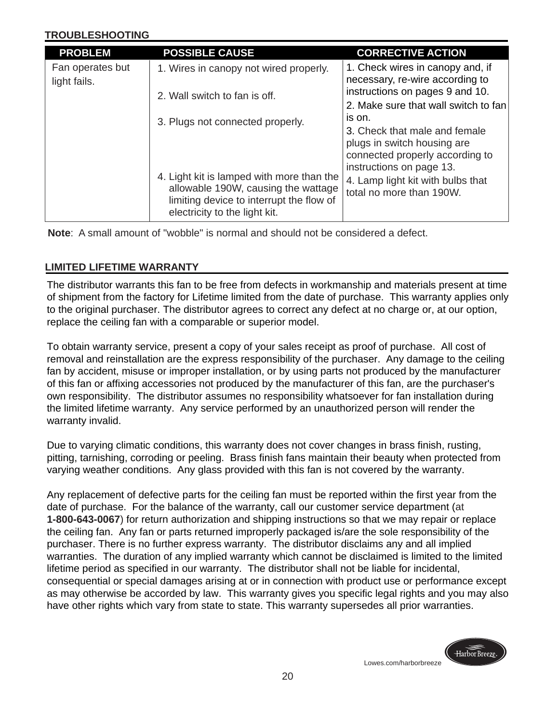#### **TROUBLESHOOTING**

| <b>PROBLEM</b>   | <b>POSSIBLE CAUSE</b>                                                                                                        | <b>CORRECTIVE ACTION</b>                                            |  |
|------------------|------------------------------------------------------------------------------------------------------------------------------|---------------------------------------------------------------------|--|
| Fan operates but | 1. Wires in canopy not wired properly.                                                                                       | 1. Check wires in canopy and, if<br>necessary, re-wire according to |  |
| light fails.     |                                                                                                                              |                                                                     |  |
|                  | 2. Wall switch to fan is off.<br>3. Plugs not connected properly.                                                            | instructions on pages 9 and 10.                                     |  |
|                  |                                                                                                                              | 2. Make sure that wall switch to fan<br>is on.                      |  |
|                  |                                                                                                                              | 3. Check that male and female                                       |  |
|                  |                                                                                                                              | plugs in switch housing are                                         |  |
|                  |                                                                                                                              | connected properly according to                                     |  |
|                  |                                                                                                                              | instructions on page 13.                                            |  |
|                  | 4. Light kit is lamped with more than the<br>allowable 190W, causing the wattage<br>limiting device to interrupt the flow of | 4. Lamp light kit with bulbs that                                   |  |
|                  |                                                                                                                              | total no more than 190W.                                            |  |
|                  | electricity to the light kit.                                                                                                |                                                                     |  |

**Note**: A small amount of "wobble" is normal and should not be considered a defect.

## **LIMITED LIFETIME WARRANTY**

The distributor warrants this fan to be free from defects in workmanship and materials present at time of shipment from the factory for Lifetime limited from the date of purchase. This warranty applies only to the original purchaser. The distributor agrees to correct any defect at no charge or, at our option, replace the ceiling fan with a comparable or superior model.

To obtain warranty service, present a copy of your sales receipt as proof of purchase. All cost of removal and reinstallation are the express responsibility of the purchaser. Any damage to the ceiling fan by accident, misuse or improper installation, or by using parts not produced by the manufacturer of this fan or affixing accessories not produced by the manufacturer of this fan, are the purchaser's own responsibility. The distributor assumes no responsibility whatsoever for fan installation during the limited lifetime warranty. Any service performed by an unauthorized person will render the warranty invalid.

Due to varying climatic conditions, this warranty does not cover changes in brass finish, rusting, pitting, tarnishing, corroding or peeling. Brass finish fans maintain their beauty when protected from varying weather conditions. Any glass provided with this fan is not covered by the warranty.

Any replacement of defective parts for the ceiling fan must be reported within the first year from the date of purchase. For the balance of the warranty, call our customer service department (at **1-800-643-0067**) for return authorization and shipping instructions so that we may repair or replace the ceiling fan. Any fan or parts returned improperly packaged is/are the sole responsibility of the purchaser. There is no further express warranty. The distributor disclaims any and all implied warranties. The duration of any implied warranty which cannot be disclaimed is limited to the limited lifetime period as specified in our warranty. The distributor shall not be liable for incidental, consequential or special damages arising at or in connection with product use or performance except as may otherwise be accorded by law. This warranty gives you specific legal rights and you may also have other rights which vary from state to state. This warranty supersedes all prior warranties.

Lowes.com/harborbreeze